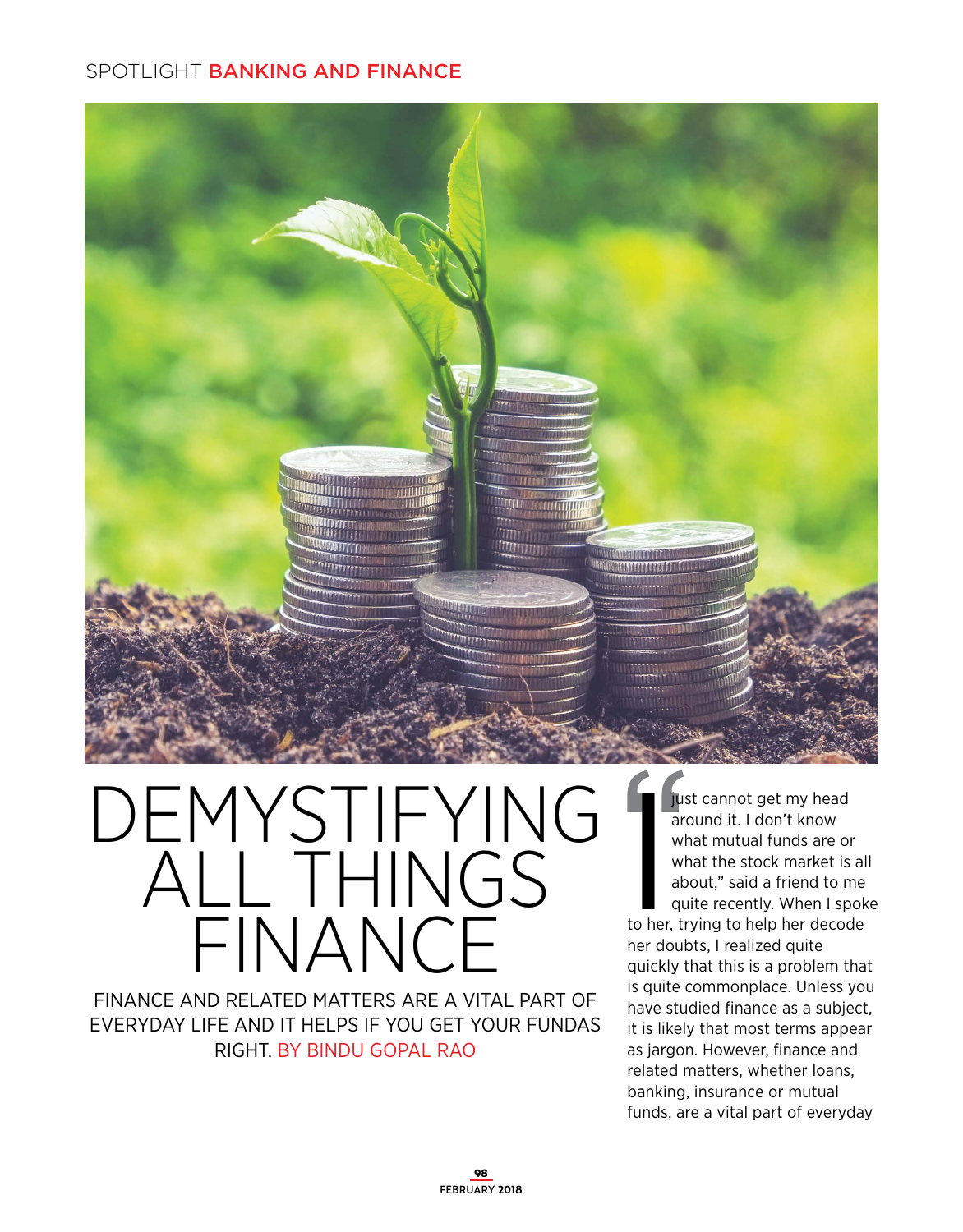

DEMYSTIFYING ALL THINGS FINANCE

FINANCE AND RELATED MATTERS ARE A VITAL PART OF EVERYDAY LIFE AND IT HELPS IF YOU GET YOUR FUNDAS RIGHT. BY BINDU GOPAL RAO

**I** just cannot get my head<br>around it. I don't know<br>what mutual funds are on<br>what the stock market is<br>about," said a friend to m<br>quite recently. When I sp<br>to her, trying to help her decoc around it. I don't know what mutual funds are or what the stock market is all about," said a friend to me quite recently. When I spoke to her, trying to help her decode her doubts, I realized quite quickly that this is a problem that is quite commonplace. Unless you have studied finance as a subject, it is likely that most terms appear as jargon. However, finance and related matters, whether loans, banking, insurance or mutual funds, are a vital part of everyday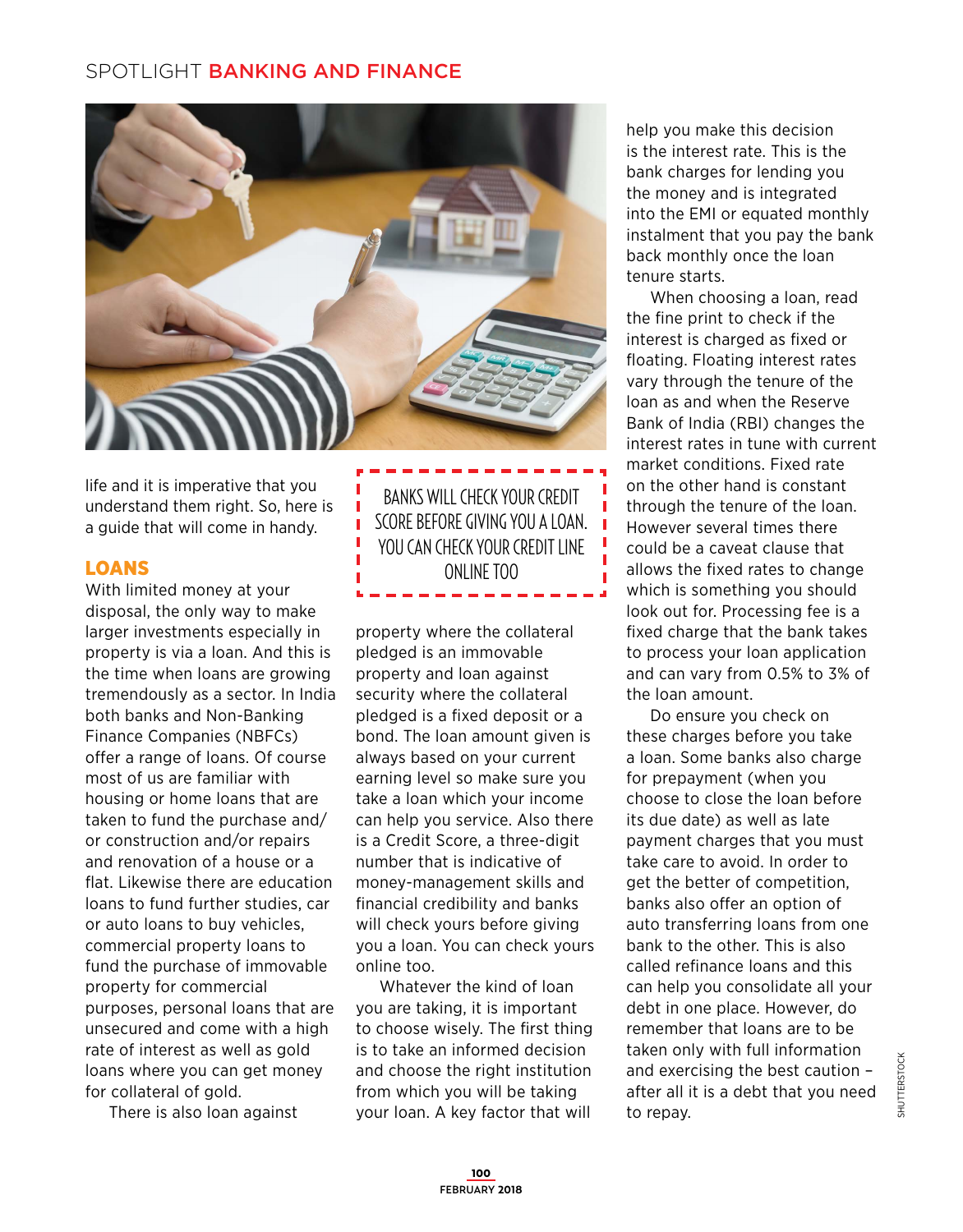

life and it is imperative that you understand them right. So, here is a guide that will come in handy.

### LOANS

With limited money at your disposal, the only way to make larger investments especially in property is via a loan. And this is the time when loans are growing tremendously as a sector. In India both banks and Non-Banking Finance Companies (NBFCs) offer a range of loans. Of course most of us are familiar with housing or home loans that are taken to fund the purchase and/ or construction and/or repairs and renovation of a house or a flat. Likewise there are education loans to fund further studies, car or auto loans to buy vehicles, commercial property loans to fund the purchase of immovable property for commercial purposes, personal loans that are unsecured and come with a high rate of interest as well as gold loans where you can get money for collateral of gold.

There is also loan against

BANKS WILL CHECK YOUR CREDIT SCORE BEFORE GIVING YOU A LOAN. YOU CAN CHECK YOUR CREDIT LINE ONLINE TOO

property where the collateral pledged is an immovable property and loan against security where the collateral pledged is a fixed deposit or a bond. The loan amount given is always based on your current earning level so make sure you take a loan which your income can help you service. Also there is a Credit Score, a three-digit number that is indicative of money-management skills and financial credibility and banks will check yours before giving you a loan. You can check yours online too.

Whatever the kind of loan you are taking, it is important to choose wisely. The first thing is to take an informed decision and choose the right institution from which you will be taking your loan. A key factor that will

help you make this decision is the interest rate. This is the bank charges for lending you the money and is integrated into the EMI or equated monthly instalment that you pay the bank back monthly once the loan tenure starts.

When choosing a loan, read the fine print to check if the interest is charged as fixed or floating. Floating interest rates vary through the tenure of the loan as and when the Reserve Bank of India (RBI) changes the interest rates in tune with current market conditions. Fixed rate on the other hand is constant through the tenure of the loan. However several times there could be a caveat clause that allows the fixed rates to change which is something you should look out for. Processing fee is a fixed charge that the bank takes to process your loan application and can vary from 0.5% to 3% of the loan amount.

Do ensure you check on these charges before you take a loan. Some banks also charge for prepayment (when you choose to close the loan before its due date) as well as late payment charges that you must take care to avoid. In order to get the better of competition, banks also offer an option of auto transferring loans from one bank to the other. This is also called refinance loans and this can help you consolidate all your debt in one place. However, do remember that loans are to be taken only with full information and exercising the best caution – after all it is a debt that you need to repay.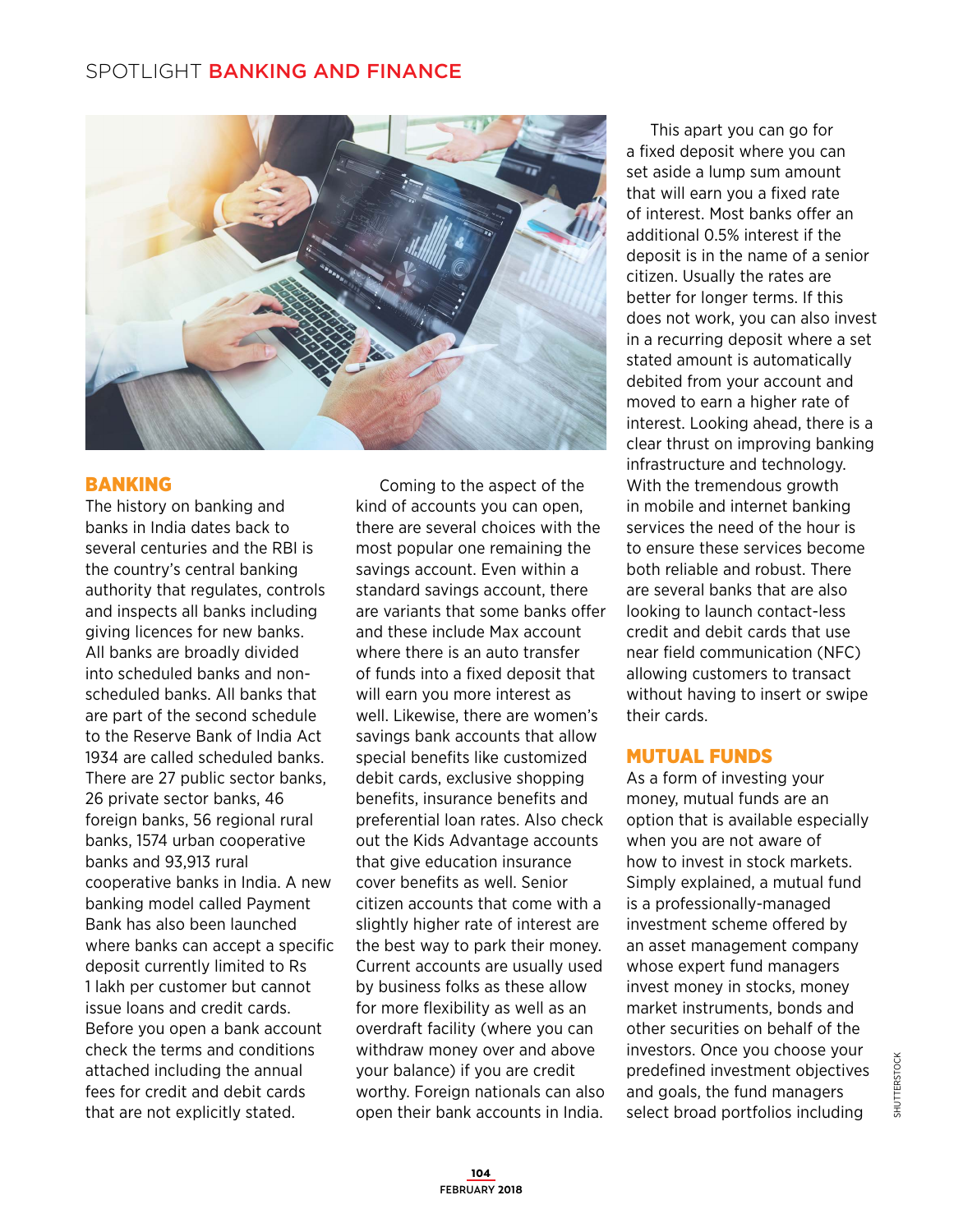

#### BANKING

The history on banking and banks in India dates back to several centuries and the RBI is the country's central banking authority that regulates, controls and inspects all banks including giving licences for new banks. All banks are broadly divided into scheduled banks and nonscheduled banks. All banks that are part of the second schedule to the Reserve Bank of India Act 1934 are called scheduled banks. There are 27 public sector banks, 26 private sector banks, 46 foreign banks, 56 regional rural banks, 1574 urban cooperative banks and 93,913 rural cooperative banks in India. A new banking model called Payment Bank has also been launched where banks can accept a specific deposit currently limited to Rs 1 lakh per customer but cannot issue loans and credit cards. Before you open a bank account check the terms and conditions attached including the annual fees for credit and debit cards that are not explicitly stated.

Coming to the aspect of the kind of accounts you can open, there are several choices with the most popular one remaining the savings account. Even within a standard savings account, there are variants that some banks offer and these include Max account where there is an auto transfer of funds into a fixed deposit that will earn you more interest as well. Likewise, there are women's savings bank accounts that allow special benefits like customized debit cards, exclusive shopping benefits, insurance benefits and preferential loan rates. Also check out the Kids Advantage accounts that give education insurance cover benefits as well. Senior citizen accounts that come with a slightly higher rate of interest are the best way to park their money. Current accounts are usually used by business folks as these allow for more flexibility as well as an overdraft facility (where you can withdraw money over and above your balance) if you are credit worthy. Foreign nationals can also open their bank accounts in India.

This apart you can go for a fixed deposit where you can set aside a lump sum amount that will earn you a fixed rate of interest. Most banks offer an additional 0.5% interest if the deposit is in the name of a senior citizen. Usually the rates are better for longer terms. If this does not work, you can also invest in a recurring deposit where a set stated amount is automatically debited from your account and moved to earn a higher rate of interest. Looking ahead, there is a clear thrust on improving banking infrastructure and technology. With the tremendous growth in mobile and internet banking services the need of the hour is to ensure these services become both reliable and robust. There are several banks that are also looking to launch contact-less credit and debit cards that use near field communication (NFC) allowing customers to transact without having to insert or swipe their cards.

#### MUTUAL FUNDS

As a form of investing your money, mutual funds are an option that is available especially when you are not aware of how to invest in stock markets. Simply explained, a mutual fund is a professionally-managed investment scheme offered by an asset management company whose expert fund managers invest money in stocks, money market instruments, bonds and other securities on behalf of the investors. Once you choose your predefined investment objectives and goals, the fund managers select broad portfolios including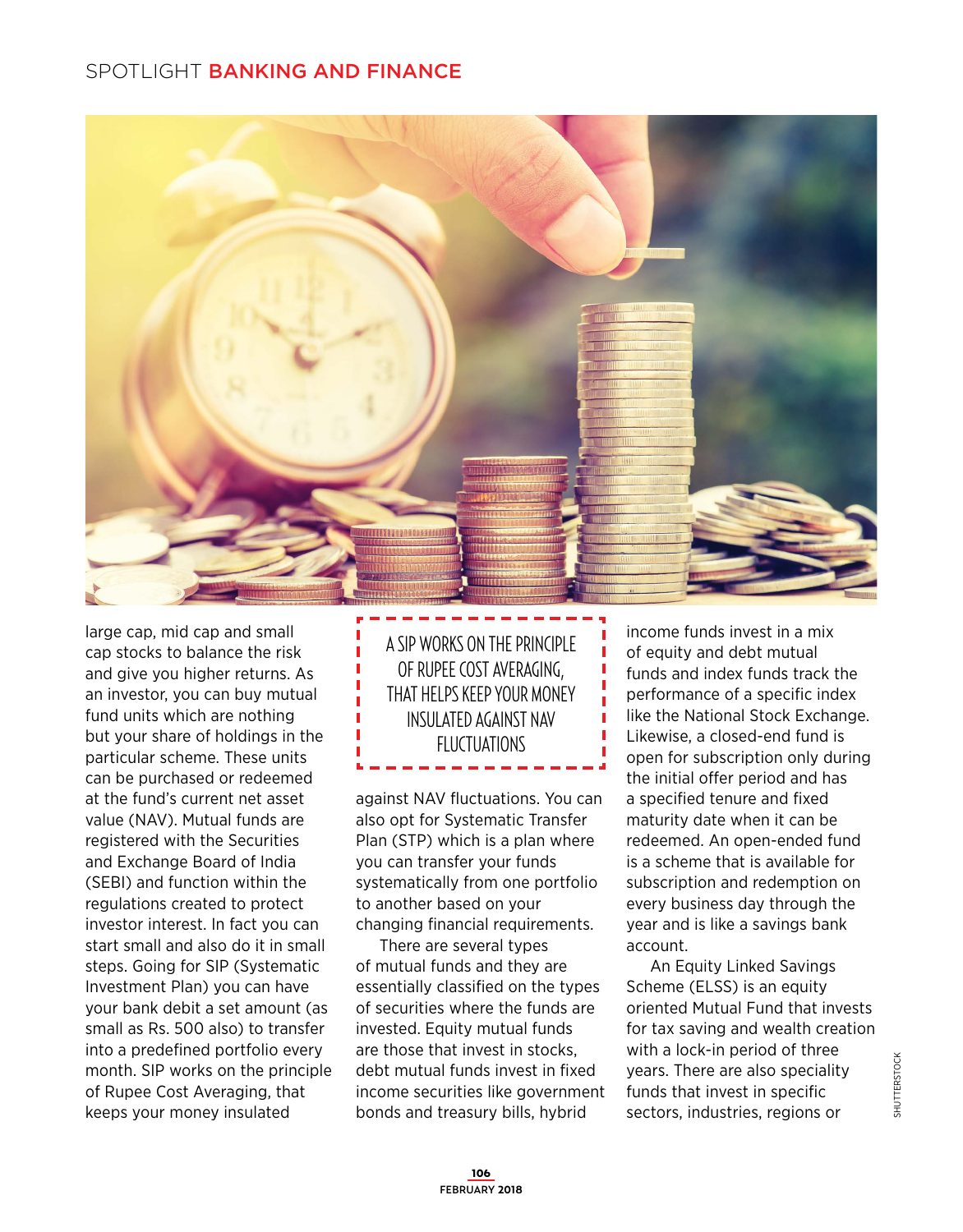

large cap, mid cap and small cap stocks to balance the risk and give you higher returns. As an investor, you can buy mutual fund units which are nothing but your share of holdings in the particular scheme. These units can be purchased or redeemed at the fund's current net asset value (NAV). Mutual funds are registered with the Securities and Exchange Board of India (SEBI) and function within the regulations created to protect investor interest. In fact you can start small and also do it in small steps. Going for SIP (Systematic Investment Plan) you can have your bank debit a set amount (as small as Rs. 500 also) to transfer into a predefined portfolio every month. SIP works on the principle of Rupee Cost Averaging, that keeps your money insulated

A SIP WORKS ON THE PRINCIPLE OF RUPEE COST AVERAGING, THAT HELPS KEEP YOUR MONEY INSULATED AGAINST NAV FLUCTUATIONS

against NAV fluctuations. You can also opt for Systematic Transfer Plan (STP) which is a plan where you can transfer your funds systematically from one portfolio to another based on your changing financial requirements.

There are several types of mutual funds and they are essentially classified on the types of securities where the funds are invested. Equity mutual funds are those that invest in stocks, debt mutual funds invest in fixed income securities like government bonds and treasury bills, hybrid

income funds invest in a mix of equity and debt mutual funds and index funds track the performance of a specific index like the National Stock Exchange. Likewise, a closed-end fund is open for subscription only during the initial offer period and has a specified tenure and fixed maturity date when it can be redeemed. An open-ended fund is a scheme that is available for subscription and redemption on every business day through the year and is like a savings bank account.

An Equity Linked Savings Scheme (ELSS) is an equity oriented Mutual Fund that invests for tax saving and wealth creation with a lock-in period of three years. There are also speciality funds that invest in specific sectors, industries, regions or